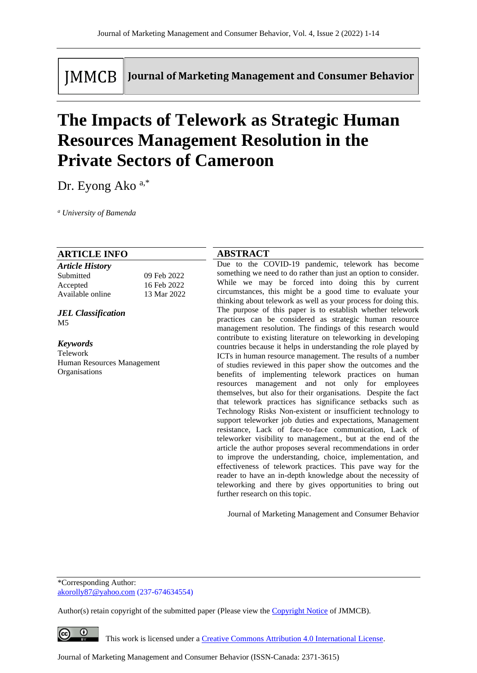**IMMCB** 

Journal of Marketing Management and Consumer Behavior

# **The Impacts of Telework as Strategic Human Resources Management Resolution in the Private Sectors of Cameroon**

Dr. Eyong Ako a,\*

*<sup>a</sup> University of Bamenda*

#### **ARTICLE INFO**

| <b>Article History</b> |             |
|------------------------|-------------|
| Submitted              | 09 Feb 2022 |
| Accepted               | 16 Feb 2022 |
| Available online       | 13 Mar 2022 |

*JEL Classification* M5

*Keywords* Telework Human Resources Management Organisations

## **ABSTRACT**

Due to the COVID-19 pandemic, telework has become something we need to do rather than just an option to consider. While we may be forced into doing this by current circumstances, this might be a good time to evaluate your thinking about telework as well as your process for doing this. The purpose of this paper is to establish whether telework practices can be considered as strategic human resource management resolution. The findings of this research would contribute to existing literature on teleworking in developing countries because it helps in understanding the role played by ICTs in human resource management. The results of a number of studies reviewed in this paper show the outcomes and the benefits of implementing telework practices on human resources management and not only for employees themselves, but also for their organisations. Despite the fact that telework practices has significance setbacks such as Technology Risks Non-existent or insufficient technology to support teleworker job duties and expectations, Management resistance, Lack of face-to-face communication, Lack of teleworker visibility to management., but at the end of the article the author proposes several recommendations in order to improve the understanding, choice, implementation, and effectiveness of telework practices. This pave way for the reader to have an in-depth knowledge about the necessity of teleworking and there by gives opportunities to bring out further research on this topic.

Journal of Marketing Management and Consumer Behavior

\*Corresponding Author: [akorolly87@yahoo.com](mailto:akorolly87@yahoo.com) (237-674634554)

Author(s) retain copyright of the submitted paper (Please view th[e Copyright Notice](http://www.journal-of-marketing-management-and-consumer-behavior.com/index.php/JMMCB/about/submissions#copyrightNotice) of JMMCB).

 $\bullet$ 

This work is licensed under a [Creative Commons Attribution 4.0 International License.](http://creativecommons.org/licenses/by/4.0/)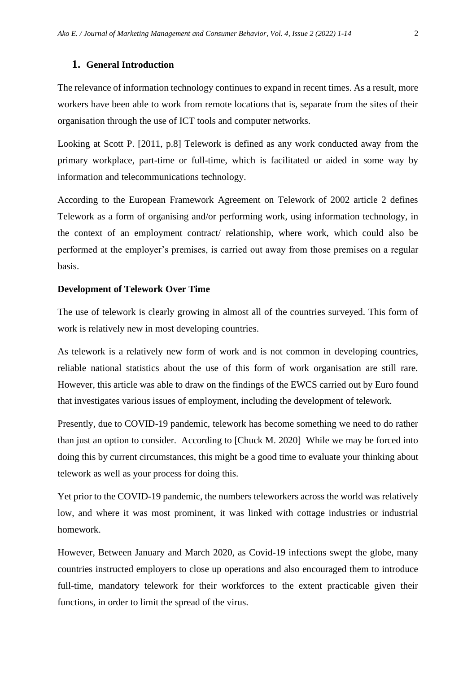#### **1. General Introduction**

The relevance of information technology continues to expand in recent times. As a result, more workers have been able to work from remote locations that is, separate from the sites of their organisation through the use of ICT tools and computer networks.

Looking at Scott P. [2011, p.8] Telework is defined as any work conducted away from the primary workplace, part-time or full-time, which is facilitated or aided in some way by information and telecommunications technology.

According to the European Framework Agreement on Telework of 2002 article 2 defines Telework as a form of organising and/or performing work, using information technology, in the context of an employment contract/ relationship, where work, which could also be performed at the employer's premises, is carried out away from those premises on a regular basis.

#### **Development of Telework Over Time**

The use of telework is clearly growing in almost all of the countries surveyed. This form of work is relatively new in most developing countries.

As telework is a relatively new form of work and is not common in developing countries, reliable national statistics about the use of this form of work organisation are still rare. However, this article was able to draw on the findings of the EWCS carried out by Euro found that investigates various issues of employment, including the development of telework.

Presently, due to COVID-19 pandemic, telework has become something we need to do rather than just an option to consider. According to [Chuck M. 2020] While we may be forced into doing this by current circumstances, this might be a good time to evaluate your thinking about telework as well as your process for doing this.

Yet prior to the COVID-19 pandemic, the numbers teleworkers across the world was relatively low, and where it was most prominent, it was linked with cottage industries or industrial homework.

However, Between January and March 2020, as Covid-19 infections swept the globe, many countries instructed employers to close up operations and also encouraged them to introduce full-time, mandatory telework for their workforces to the extent practicable given their functions, in order to limit the spread of the virus.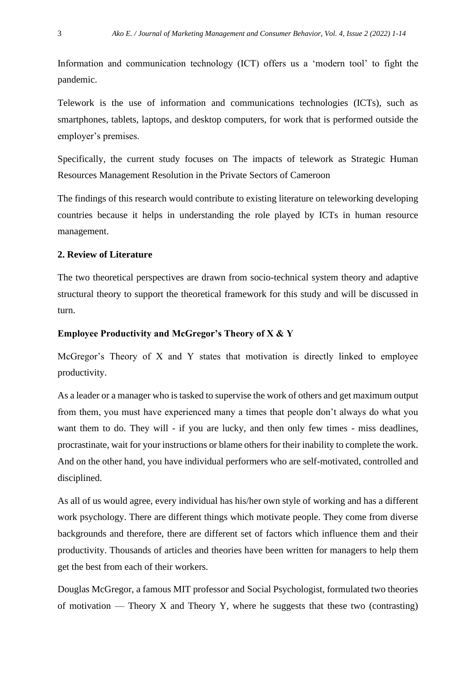Information and communication technology (ICT) offers us a 'modern tool' to fight the pandemic.

Telework is the use of information and communications technologies (ICTs), such as smartphones, tablets, laptops, and desktop computers, for work that is performed outside the employer's premises.

Specifically, the current study focuses on The impacts of telework as Strategic Human Resources Management Resolution in the Private Sectors of Cameroon

The findings of this research would contribute to existing literature on teleworking developing countries because it helps in understanding the role played by ICTs in human resource management.

## **2. Review of Literature**

The two theoretical perspectives are drawn from socio-technical system theory and adaptive structural theory to support the theoretical framework for this study and will be discussed in turn.

## **Employee Productivity and McGregor's Theory of X & Y**

McGregor's Theory of X and Y states that motivation is directly linked to employee productivity.

As a leader or a manager who is tasked to supervise the work of others and get maximum output from them, you must have experienced many a times that people don't always do what you want them to do. They will - if you are lucky, and then only few times - miss deadlines, procrastinate, wait for your instructions or blame others for their inability to complete the work. And on the other hand, you have individual performers who are self-motivated, controlled and disciplined.

As all of us would agree, every individual has his/her own style of working and has a different work psychology. There are different things which motivate people. They come from diverse backgrounds and therefore, there are different set of factors which influence them and their productivity. Thousands of articles and theories have been written for managers to help them get the best from each of their workers.

Douglas McGregor, a famous MIT professor and Social Psychologist, formulated two theories of motivation — Theory X and Theory Y, where he suggests that these two (contrasting)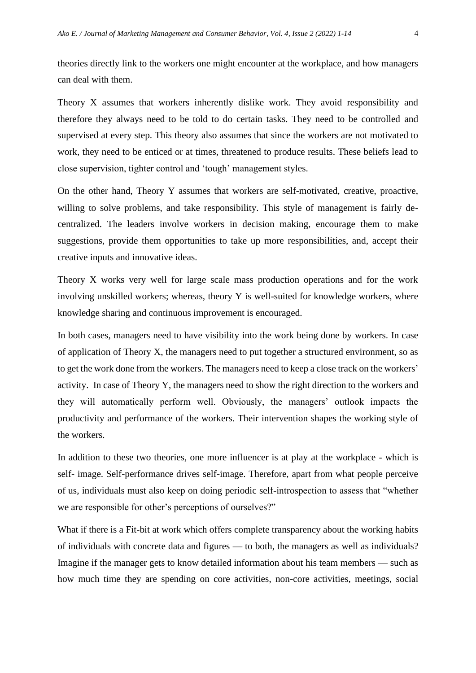theories directly link to the workers one might encounter at the workplace, and how managers can deal with them.

Theory X assumes that workers inherently dislike work. They avoid responsibility and therefore they always need to be told to do certain tasks. They need to be controlled and supervised at every step. This theory also assumes that since the workers are not motivated to work, they need to be enticed or at times, threatened to produce results. These beliefs lead to close supervision, tighter control and 'tough' management styles.

On the other hand, Theory Y assumes that workers are self-motivated, creative, proactive, willing to solve problems, and take responsibility. This style of management is fairly decentralized. The leaders involve workers in decision making, encourage them to make suggestions, provide them opportunities to take up more responsibilities, and, accept their creative inputs and innovative ideas.

Theory X works very well for large scale mass production operations and for the work involving unskilled workers; whereas, theory  $Y$  is well-suited for knowledge workers, where knowledge sharing and continuous improvement is encouraged.

In both cases, managers need to have visibility into the work being done by workers. In case of application of Theory X, the managers need to put together a structured environment, so as to get the work done from the workers. The managers need to keep a close track on the workers' activity. In case of Theory Y, the managers need to show the right direction to the workers and they will automatically perform well. Obviously, the managers' outlook impacts the productivity and performance of the workers. Their intervention shapes the working style of the workers.

In addition to these two theories, one more influencer is at play at the workplace - which is self- image. Self-performance drives self-image. Therefore, apart from what people perceive of us, individuals must also keep on doing periodic self-introspection to assess that "whether we are responsible for other's perceptions of ourselves?"

What if there is a Fit-bit at work which offers complete transparency about the working habits of individuals with concrete data and figures — to both, the managers as well as individuals? Imagine if the manager gets to know detailed information about his team members — such as how much time they are spending on core activities, non-core activities, meetings, social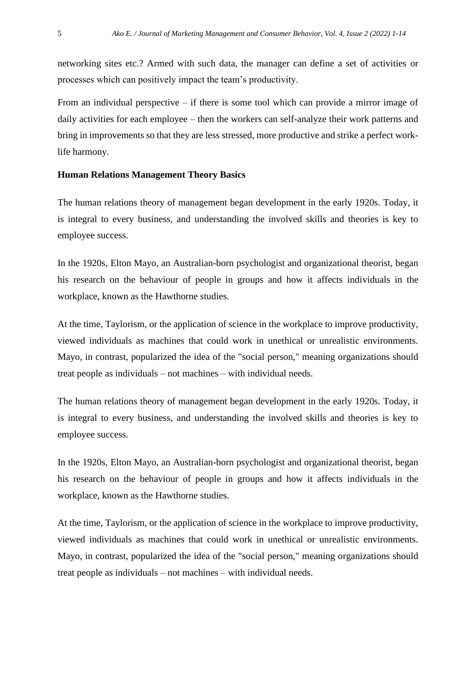networking sites etc.? Armed with such data, the manager can define a set of activities or processes which can positively impact the team's productivity.

From an individual perspective – if there is some tool which can provide a mirror image of daily activities for each employee – then the workers can self-analyze their work patterns and bring in improvements so that they are less stressed, more productive and strike a perfect worklife harmony.

## **Human Relations Management Theory Basics**

The human relations theory of management began development in the early 1920s. Today, it is integral to every business, and understanding the involved skills and theories is key to employee success.

In the 1920s, Elton Mayo, an Australian-born psychologist and organizational theorist, began his research on the behaviour of people in groups and how it affects individuals in the workplace, known as the Hawthorne studies.

At the time, Taylorism, or the application of science in the workplace to improve productivity, viewed individuals as machines that could work in unethical or unrealistic environments. Mayo, in contrast, popularized the idea of the "social person," meaning organizations should treat people as individuals – not machines – with individual needs.

The human relations theory of management began development in the early 1920s. Today, it is integral to every business, and understanding the involved skills and theories is key to employee success.

In the 1920s, Elton Mayo, an Australian-born psychologist and organizational theorist, began his research on the behaviour of people in groups and how it affects individuals in the workplace, known as the Hawthorne studies.

At the time, Taylorism, or the application of science in the workplace to improve productivity, viewed individuals as machines that could work in unethical or unrealistic environments. Mayo, in contrast, popularized the idea of the "social person," meaning organizations should treat people as individuals – not machines – with individual needs.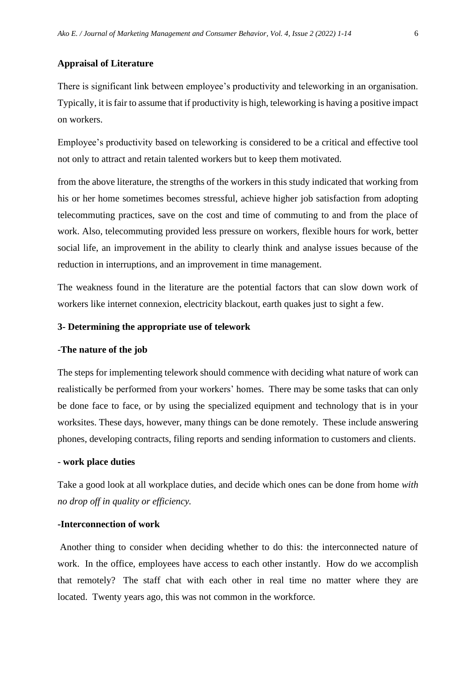## **Appraisal of Literature**

There is significant link between employee's productivity and teleworking in an organisation. Typically, it is fair to assume that if productivity is high, teleworking is having a positive impact on workers.

Employee's productivity based on teleworking is considered to be a critical and effective tool not only to attract and retain talented workers but to keep them motivated.

from the above literature, the strengths of the workers in this study indicated that working from his or her home sometimes becomes stressful, achieve higher job satisfaction from adopting telecommuting practices, save on the cost and time of commuting to and from the place of work. Also, telecommuting provided less pressure on workers, flexible hours for work, better social life, an improvement in the ability to clearly think and analyse issues because of the reduction in interruptions, and an improvement in time management.

The weakness found in the literature are the potential factors that can slow down work of workers like internet connexion, electricity blackout, earth quakes just to sight a few.

## **3- Determining the appropriate use of telework**

#### -**The nature of the job**

The steps for implementing telework should commence with deciding what nature of work can realistically be performed from your workers' homes. There may be some tasks that can only be done face to face, or by using the specialized equipment and technology that is in your worksites. These days, however, many things can be done remotely. These include answering phones, developing contracts, filing reports and sending information to customers and clients.

#### - **work place duties**

Take a good look at all workplace duties, and decide which ones can be done from home *with no drop off in quality or efficiency.*

## **-Interconnection of work**

Another thing to consider when deciding whether to do this: the interconnected nature of work. In the office, employees have access to each other instantly. How do we accomplish that remotely? The staff chat with each other in real time no matter where they are located. Twenty years ago, this was not common in the workforce.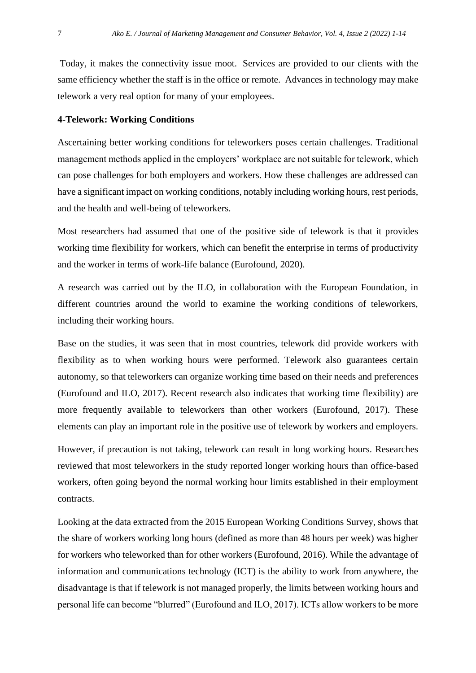Today, it makes the connectivity issue moot. Services are provided to our clients with the same efficiency whether the staff is in the office or remote. Advances in technology may make telework a very real option for many of your employees.

#### **4-Telework: Working Conditions**

Ascertaining better working conditions for teleworkers poses certain challenges. Traditional management methods applied in the employers' workplace are not suitable for telework, which can pose challenges for both employers and workers. How these challenges are addressed can have a significant impact on working conditions, notably including working hours, rest periods, and the health and well-being of teleworkers.

Most researchers had assumed that one of the positive side of telework is that it provides working time flexibility for workers, which can benefit the enterprise in terms of productivity and the worker in terms of work-life balance (Eurofound, 2020).

A research was carried out by the ILO, in collaboration with the European Foundation, in different countries around the world to examine the working conditions of teleworkers, including their working hours.

Base on the studies, it was seen that in most countries, telework did provide workers with flexibility as to when working hours were performed. Telework also guarantees certain autonomy, so that teleworkers can organize working time based on their needs and preferences (Eurofound and ILO, 2017). Recent research also indicates that working time flexibility) are more frequently available to teleworkers than other workers (Eurofound, 2017). These elements can play an important role in the positive use of telework by workers and employers.

However, if precaution is not taking, telework can result in long working hours. Researches reviewed that most teleworkers in the study reported longer working hours than office-based workers, often going beyond the normal working hour limits established in their employment contracts.

Looking at the data extracted from the 2015 European Working Conditions Survey, shows that the share of workers working long hours (defined as more than 48 hours per week) was higher for workers who teleworked than for other workers (Eurofound, 2016). While the advantage of information and communications technology (ICT) is the ability to work from anywhere, the disadvantage is that if telework is not managed properly, the limits between working hours and personal life can become "blurred" (Eurofound and ILO, 2017). ICTs allow workers to be more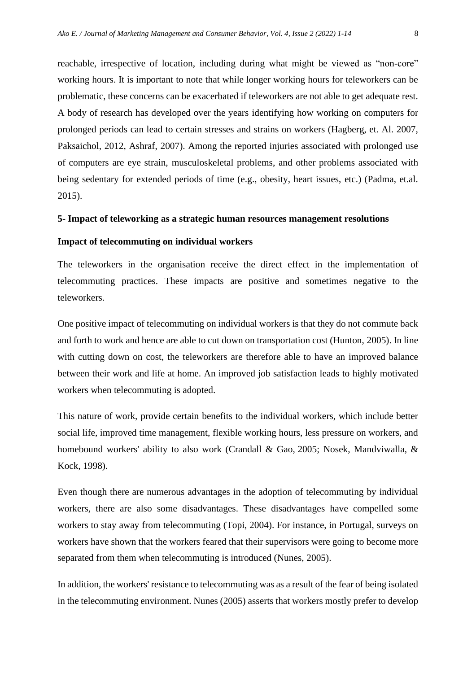reachable, irrespective of location, including during what might be viewed as "non-core" working hours. It is important to note that while longer working hours for teleworkers can be problematic, these concerns can be exacerbated if teleworkers are not able to get adequate rest. A body of research has developed over the years identifying how working on computers for prolonged periods can lead to certain stresses and strains on workers (Hagberg, et. Al. 2007, Paksaichol, 2012, Ashraf, 2007). Among the reported injuries associated with prolonged use of computers are eye strain, musculoskeletal problems, and other problems associated with being sedentary for extended periods of time (e.g., obesity, heart issues, etc.) (Padma, et.al. 2015).

#### **5- Impact of teleworking as a strategic human resources management resolutions**

## **Impact of telecommuting on individual workers**

The teleworkers in the organisation receive the direct effect in the implementation of telecommuting practices. These impacts are positive and sometimes negative to the teleworkers.

One positive impact of telecommuting on individual workers is that they do not commute back and forth to work and hence are able to cut down on transportation cost (Hunton, [2005\)](https://onlinelibrary.wiley.com/doi/full/10.1002/isd2.12008#isd212008-bib-0023). In line with cutting down on cost, the teleworkers are therefore able to have an improved balance between their work and life at home. An improved job satisfaction leads to highly motivated workers when telecommuting is adopted.

This nature of work, provide certain benefits to the individual workers, which include better social life, improved time management, flexible working hours, less pressure on workers, and homebound workers' ability to also work (Crandall & Gao, [2005;](https://onlinelibrary.wiley.com/doi/full/10.1002/isd2.12008#isd212008-bib-0012) Nosek, Mandviwalla, & Kock, [1998\)](https://onlinelibrary.wiley.com/doi/full/10.1002/isd2.12008#isd212008-bib-0038).

Even though there are numerous advantages in the adoption of telecommuting by individual workers, there are also some disadvantages. These disadvantages have compelled some workers to stay away from telecommuting (Topi, [2004\)](https://onlinelibrary.wiley.com/doi/full/10.1002/isd2.12008#isd212008-bib-0052). For instance, in Portugal, surveys on workers have shown that the workers feared that their supervisors were going to become more separated from them when telecommuting is introduced (Nunes, [2005\)](https://onlinelibrary.wiley.com/doi/full/10.1002/isd2.12008#isd212008-bib-0039).

In addition, the workers' resistance to telecommuting was as a result of the fear of being isolated in the telecommuting environment. Nunes [\(2005\)](https://onlinelibrary.wiley.com/doi/full/10.1002/isd2.12008#isd212008-bib-0039) asserts that workers mostly prefer to develop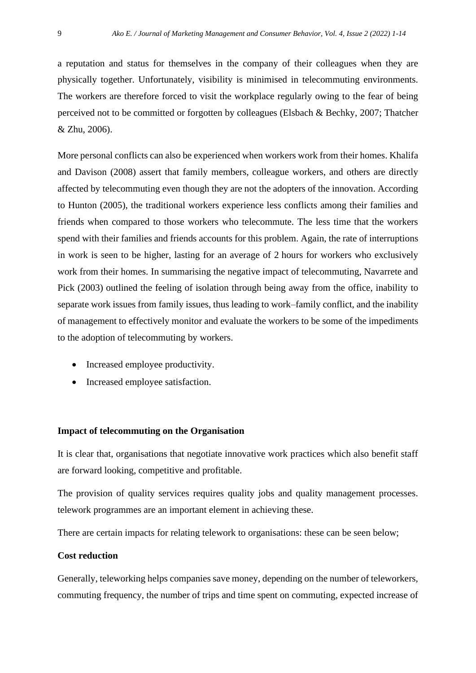a reputation and status for themselves in the company of their colleagues when they are physically together. Unfortunately, visibility is minimised in telecommuting environments. The workers are therefore forced to visit the workplace regularly owing to the fear of being perceived not to be committed or forgotten by colleagues (Elsbach & Bechky, [2007;](https://onlinelibrary.wiley.com/doi/full/10.1002/isd2.12008#isd212008-bib-0015) Thatcher & Zhu, [2006\)](https://onlinelibrary.wiley.com/doi/full/10.1002/isd2.12008#isd212008-bib-0050).

More personal conflicts can also be experienced when workers work from their homes. Khalifa and Davison [\(2008\)](https://onlinelibrary.wiley.com/doi/full/10.1002/isd2.12008#isd212008-bib-0027) assert that family members, colleague workers, and others are directly affected by telecommuting even though they are not the adopters of the innovation. According to Hunton [\(2005\)](https://onlinelibrary.wiley.com/doi/full/10.1002/isd2.12008#isd212008-bib-0023), the traditional workers experience less conflicts among their families and friends when compared to those workers who telecommute. The less time that the workers spend with their families and friends accounts for this problem. Again, the rate of interruptions in work is seen to be higher, lasting for an average of 2 hours for workers who exclusively work from their homes. In summarising the negative impact of telecommuting, Navarrete and Pick [\(2003\)](https://onlinelibrary.wiley.com/doi/full/10.1002/isd2.12008#isd212008-bib-0037) outlined the feeling of isolation through being away from the office, inability to separate work issues from family issues, thus leading to work–family conflict, and the inability of management to effectively monitor and evaluate the workers to be some of the impediments to the adoption of telecommuting by workers.

- Increased employee productivity.
- Increased employee satisfaction.

#### **Impact of telecommuting on the Organisation**

It is clear that, organisations that negotiate innovative work practices which also benefit staff are forward looking, competitive and profitable.

The provision of quality services requires quality jobs and quality management processes. telework programmes are an important element in achieving these.

There are certain impacts for relating telework to organisations: these can be seen below;

## **Cost reduction**

Generally, teleworking helps companies save money, depending on the number of teleworkers, commuting frequency, the number of trips and time spent on commuting, expected increase of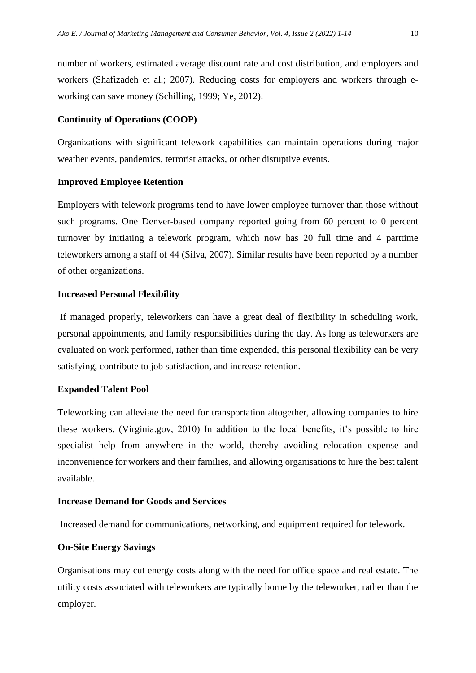number of workers, estimated average discount rate and cost distribution, and employers and workers (Shafizadeh et al.; 2007). Reducing costs for employers and workers through eworking can save money (Schilling, 1999; Ye, 2012).

#### **Continuity of Operations (COOP)**

Organizations with significant telework capabilities can maintain operations during major weather events, pandemics, terrorist attacks, or other disruptive events.

#### **Improved Employee Retention**

Employers with telework programs tend to have lower employee turnover than those without such programs. One Denver-based company reported going from 60 percent to 0 percent turnover by initiating a telework program, which now has 20 full time and 4 parttime teleworkers among a staff of 44 (Silva, 2007). Similar results have been reported by a number of other organizations.

## **Increased Personal Flexibility**

If managed properly, teleworkers can have a great deal of flexibility in scheduling work, personal appointments, and family responsibilities during the day. As long as teleworkers are evaluated on work performed, rather than time expended, this personal flexibility can be very satisfying, contribute to job satisfaction, and increase retention.

#### **Expanded Talent Pool**

Teleworking can alleviate the need for transportation altogether, allowing companies to hire these workers. (Virginia.gov, 2010) In addition to the local benefits, it's possible to hire specialist help from anywhere in the world, thereby avoiding relocation expense and inconvenience for workers and their families, and allowing organisations to hire the best talent available.

#### **Increase Demand for Goods and Services**

Increased demand for communications, networking, and equipment required for telework.

## **On-Site Energy Savings**

Organisations may cut energy costs along with the need for office space and real estate. The utility costs associated with teleworkers are typically borne by the teleworker, rather than the employer.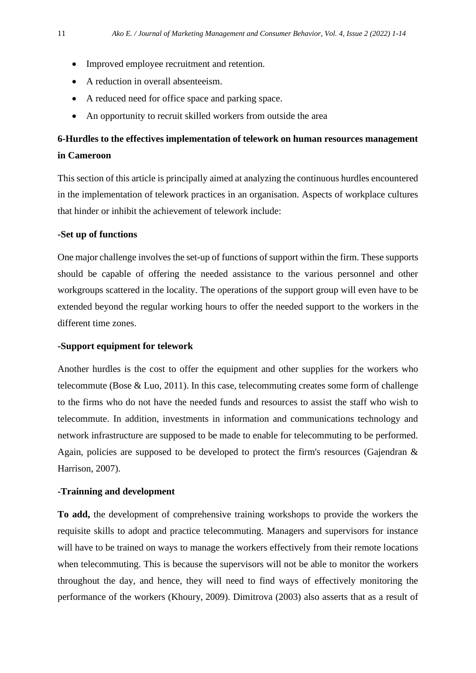- Improved employee recruitment and retention.
- A reduction in overall absenteeism.
- A reduced need for office space and parking space.
- An opportunity to recruit skilled workers from outside the area

## **6-Hurdles to the effectives implementation of telework on human resources management in Cameroon**

This section of this article is principally aimed at analyzing the continuous hurdles encountered in the implementation of telework practices in an organisation. Aspects of workplace cultures that hinder or inhibit the achievement of telework include:

## **-Set up of functions**

One major challenge involves the set-up of functions of support within the firm. These supports should be capable of offering the needed assistance to the various personnel and other workgroups scattered in the locality. The operations of the support group will even have to be extended beyond the regular working hours to offer the needed support to the workers in the different time zones.

## **-Support equipment for telework**

Another hurdles is the cost to offer the equipment and other supplies for the workers who telecommute (Bose & Luo, [2011\)](https://onlinelibrary.wiley.com/doi/full/10.1002/isd2.12008#isd212008-bib-0009). In this case, telecommuting creates some form of challenge to the firms who do not have the needed funds and resources to assist the staff who wish to telecommute. In addition, investments in information and communications technology and network infrastructure are supposed to be made to enable for telecommuting to be performed. Again, policies are supposed to be developed to protect the firm's resources (Gajendran & Harrison, [2007\)](https://onlinelibrary.wiley.com/doi/full/10.1002/isd2.12008#isd212008-bib-0018).

## **-Trainning and development**

**To add,** the development of comprehensive training workshops to provide the workers the requisite skills to adopt and practice telecommuting. Managers and supervisors for instance will have to be trained on ways to manage the workers effectively from their remote locations when telecommuting. This is because the supervisors will not be able to monitor the workers throughout the day, and hence, they will need to find ways of effectively monitoring the performance of the workers (Khoury, [2009\)](https://onlinelibrary.wiley.com/doi/full/10.1002/isd2.12008#isd212008-bib-0028). Dimitrova [\(2003\)](https://onlinelibrary.wiley.com/doi/full/10.1002/isd2.12008#isd212008-bib-0014) also asserts that as a result of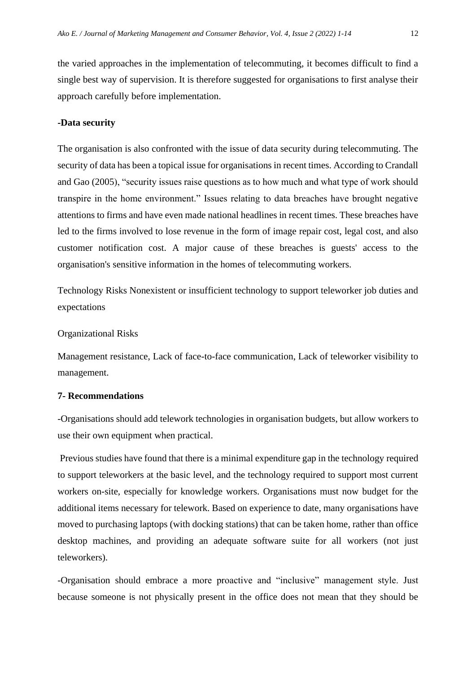the varied approaches in the implementation of telecommuting, it becomes difficult to find a single best way of supervision. It is therefore suggested for organisations to first analyse their approach carefully before implementation.

#### **-Data security**

The organisation is also confronted with the issue of data security during telecommuting. The security of data has been a topical issue for organisations in recent times. According to Crandall and Gao [\(2005\)](https://onlinelibrary.wiley.com/doi/full/10.1002/isd2.12008#isd212008-bib-0012), "security issues raise questions as to how much and what type of work should transpire in the home environment." Issues relating to data breaches have brought negative attentions to firms and have even made national headlines in recent times. These breaches have led to the firms involved to lose revenue in the form of image repair cost, legal cost, and also customer notification cost. A major cause of these breaches is guests' access to the organisation's sensitive information in the homes of telecommuting workers.

Technology Risks Nonexistent or insufficient technology to support teleworker job duties and expectations

#### Organizational Risks

Management resistance, Lack of face-to-face communication, Lack of teleworker visibility to management.

## **7- Recommendations**

-Organisations should add telework technologies in organisation budgets, but allow workers to use their own equipment when practical.

Previous studies have found that there is a minimal expenditure gap in the technology required to support teleworkers at the basic level, and the technology required to support most current workers on-site, especially for knowledge workers. Organisations must now budget for the additional items necessary for telework. Based on experience to date, many organisations have moved to purchasing laptops (with docking stations) that can be taken home, rather than office desktop machines, and providing an adequate software suite for all workers (not just teleworkers).

-Organisation should embrace a more proactive and "inclusive" management style. Just because someone is not physically present in the office does not mean that they should be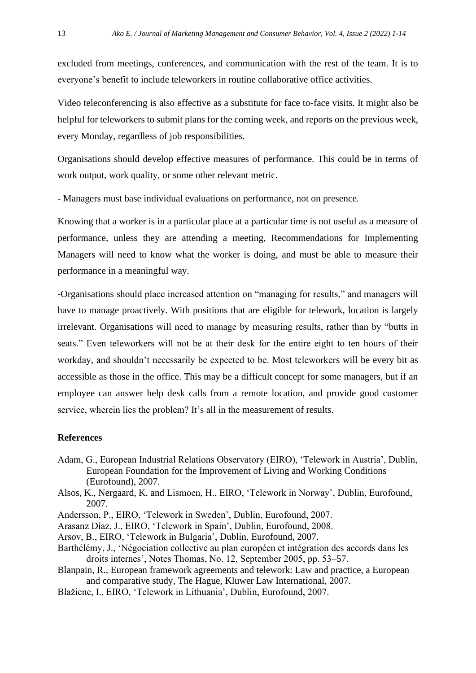excluded from meetings, conferences, and communication with the rest of the team. It is to everyone's benefit to include teleworkers in routine collaborative office activities.

Video teleconferencing is also effective as a substitute for face to-face visits. It might also be helpful for teleworkers to submit plans for the coming week, and reports on the previous week, every Monday, regardless of job responsibilities.

Organisations should develop effective measures of performance. This could be in terms of work output, work quality, or some other relevant metric.

- Managers must base individual evaluations on performance, not on presence.

Knowing that a worker is in a particular place at a particular time is not useful as a measure of performance, unless they are attending a meeting, Recommendations for Implementing Managers will need to know what the worker is doing, and must be able to measure their performance in a meaningful way.

-Organisations should place increased attention on "managing for results," and managers will have to manage proactively. With positions that are eligible for telework, location is largely irrelevant. Organisations will need to manage by measuring results, rather than by "butts in seats." Even teleworkers will not be at their desk for the entire eight to ten hours of their workday, and shouldn't necessarily be expected to be. Most teleworkers will be every bit as accessible as those in the office. This may be a difficult concept for some managers, but if an employee can answer help desk calls from a remote location, and provide good customer service, wherein lies the problem? It's all in the measurement of results.

## **References**

- Adam, G., European Industrial Relations Observatory (EIRO), 'Telework in Austria', Dublin, European Foundation for the Improvement of Living and Working Conditions (Eurofound), 2007.
- Alsos, K., Nergaard, K. and Lismoen, H., EIRO, 'Telework in Norway', Dublin, Eurofound, 2007.
- Andersson, P., EIRO, 'Telework in Sweden', Dublin, Eurofound, 2007.
- Arasanz Díaz, J., EIRO, 'Telework in Spain', Dublin, Eurofound, 2008.
- Arsov, B., EIRO, 'Telework in Bulgaria', Dublin, Eurofound, 2007.
- Barthélémy, J., 'Négociation collective au plan européen et intégration des accords dans les droits internes', Notes Thomas, No. 12, September 2005, pp. 53–57.
- Blanpain, R., European framework agreements and telework: Law and practice, a European and comparative study, The Hague, Kluwer Law International, 2007.
- Blažiene, I., EIRO, 'Telework in Lithuania', Dublin, Eurofound, 2007.